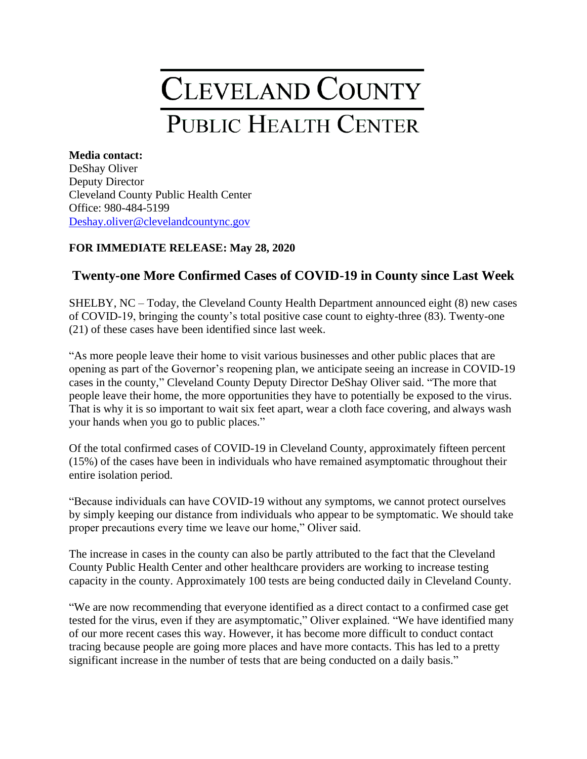## CLEVELAND COUNTY **PUBLIC HEALTH CENTER**

## **Media contact:** DeShay Oliver Deputy Director Cleveland County Public Health Center Office: 980-484-5199 [Deshay.oliver@clevelandcountync.g](mailto:Deshay.oliver@clevelandcountync.)ov

## **FOR IMMEDIATE RELEASE: May 28, 2020**

## **Twenty-one More Confirmed Cases of COVID-19 in County since Last Week**

SHELBY, NC – Today, the Cleveland County Health Department announced eight (8) new cases of COVID-19, bringing the county's total positive case count to eighty-three (83). Twenty-one (21) of these cases have been identified since last week.

"As more people leave their home to visit various businesses and other public places that are opening as part of the Governor's reopening plan, we anticipate seeing an increase in COVID-19 cases in the county," Cleveland County Deputy Director DeShay Oliver said. "The more that people leave their home, the more opportunities they have to potentially be exposed to the virus. That is why it is so important to wait six feet apart, wear a cloth face covering, and always wash your hands when you go to public places."

Of the total confirmed cases of COVID-19 in Cleveland County, approximately fifteen percent (15%) of the cases have been in individuals who have remained asymptomatic throughout their entire isolation period.

"Because individuals can have COVID-19 without any symptoms, we cannot protect ourselves by simply keeping our distance from individuals who appear to be symptomatic. We should take proper precautions every time we leave our home," Oliver said.

The increase in cases in the county can also be partly attributed to the fact that the Cleveland County Public Health Center and other healthcare providers are working to increase testing capacity in the county. Approximately 100 tests are being conducted daily in Cleveland County.

"We are now recommending that everyone identified as a direct contact to a confirmed case get tested for the virus, even if they are asymptomatic," Oliver explained. "We have identified many of our more recent cases this way. However, it has become more difficult to conduct contact tracing because people are going more places and have more contacts. This has led to a pretty significant increase in the number of tests that are being conducted on a daily basis."